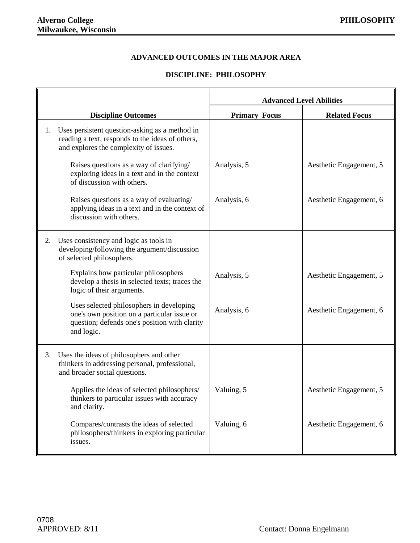#### **ADVANCED OUTCOMES IN THE MAJOR AREA**

#### **DISCIPLINE: PHILOSOPHY**

|    |                                                                                                                                                        | <b>Advanced Level Abilities</b> |                         |
|----|--------------------------------------------------------------------------------------------------------------------------------------------------------|---------------------------------|-------------------------|
|    | <b>Discipline Outcomes</b>                                                                                                                             | <b>Primary Focus</b>            | <b>Related Focus</b>    |
| 1. | Uses persistent question-asking as a method in<br>reading a text, responds to the ideas of others,<br>and explores the complexity of issues.           |                                 |                         |
|    | Raises questions as a way of clarifying/<br>exploring ideas in a text and in the context<br>of discussion with others.                                 | Analysis, 5                     | Aesthetic Engagement, 5 |
|    | Raises questions as a way of evaluating/<br>applying ideas in a text and in the context of<br>discussion with others.                                  | Analysis, 6                     | Aesthetic Engagement, 6 |
| 2. | Uses consistency and logic as tools in<br>developing/following the argument/discussion<br>of selected philosophers.                                    |                                 |                         |
|    | Explains how particular philosophers<br>develop a thesis in selected texts; traces the<br>logic of their arguments.                                    | Analysis, 5                     | Aesthetic Engagement, 5 |
|    | Uses selected philosophers in developing<br>one's own position on a particular issue or<br>question; defends one's position with clarity<br>and logic. | Analysis, 6                     | Aesthetic Engagement, 6 |
| 3. | Uses the ideas of philosophers and other<br>thinkers in addressing personal, professional,<br>and broader social questions.                            |                                 |                         |
|    | Applies the ideas of selected philosophers/<br>thinkers to particular issues with accuracy<br>and clarity.                                             | Valuing, 5                      | Aesthetic Engagement, 5 |
|    | Compares/contrasts the ideas of selected<br>philosophers/thinkers in exploring particular<br>issues.                                                   | Valuing, 6                      | Aesthetic Engagement, 6 |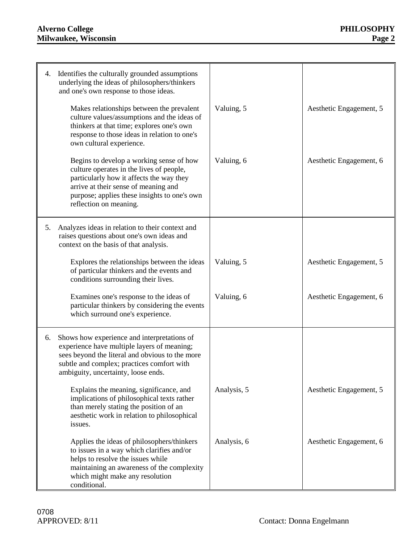# **Alverno College PHILOSOPHY Milwaukee, Wisconsin Page 2**

| 4. | Identifies the culturally grounded assumptions<br>underlying the ideas of philosophers/thinkers<br>and one's own response to those ideas.<br>Makes relationships between the prevalent<br>culture values/assumptions and the ideas of<br>thinkers at that time; explores one's own<br>response to those ideas in relation to one's<br>own cultural experience.<br>Begins to develop a working sense of how<br>culture operates in the lives of people,<br>particularly how it affects the way they | Valuing, 5<br>Valuing, 6 | Aesthetic Engagement, 5<br>Aesthetic Engagement, 6 |
|----|----------------------------------------------------------------------------------------------------------------------------------------------------------------------------------------------------------------------------------------------------------------------------------------------------------------------------------------------------------------------------------------------------------------------------------------------------------------------------------------------------|--------------------------|----------------------------------------------------|
|    | arrive at their sense of meaning and<br>purpose; applies these insights to one's own<br>reflection on meaning.                                                                                                                                                                                                                                                                                                                                                                                     |                          |                                                    |
| 5. | Analyzes ideas in relation to their context and<br>raises questions about one's own ideas and<br>context on the basis of that analysis.                                                                                                                                                                                                                                                                                                                                                            |                          |                                                    |
|    | Explores the relationships between the ideas<br>of particular thinkers and the events and<br>conditions surrounding their lives.                                                                                                                                                                                                                                                                                                                                                                   | Valuing, 5               | Aesthetic Engagement, 5                            |
|    | Examines one's response to the ideas of<br>particular thinkers by considering the events<br>which surround one's experience.                                                                                                                                                                                                                                                                                                                                                                       | Valuing, 6               | Aesthetic Engagement, 6                            |
| 6. | Shows how experience and interpretations of<br>experience have multiple layers of meaning;<br>sees beyond the literal and obvious to the more<br>subtle and complex; practices comfort with<br>ambiguity, uncertainty, loose ends.                                                                                                                                                                                                                                                                 |                          |                                                    |
|    | Explains the meaning, significance, and<br>implications of philosophical texts rather<br>than merely stating the position of an<br>aesthetic work in relation to philosophical<br>issues.                                                                                                                                                                                                                                                                                                          | Analysis, 5              | Aesthetic Engagement, 5                            |
|    | Applies the ideas of philosophers/thinkers<br>to issues in a way which clarifies and/or<br>helps to resolve the issues while<br>maintaining an awareness of the complexity<br>which might make any resolution<br>conditional.                                                                                                                                                                                                                                                                      | Analysis, 6              | Aesthetic Engagement, 6                            |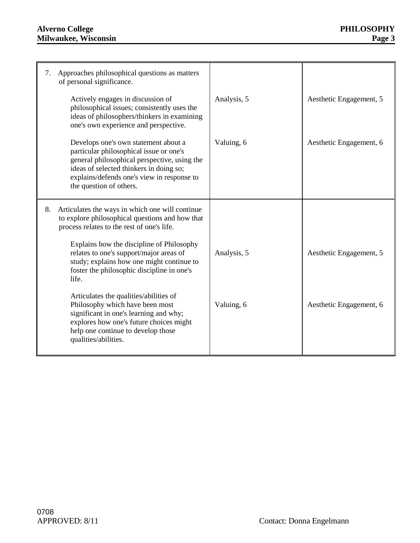# **Alverno College PHILOSOPHY Milwaukee, Wisconsin Page 3**

| 7. | Approaches philosophical questions as matters<br>of personal significance.                                                                                                                                                                          |             |                         |
|----|-----------------------------------------------------------------------------------------------------------------------------------------------------------------------------------------------------------------------------------------------------|-------------|-------------------------|
|    | Actively engages in discussion of<br>philosophical issues; consistently uses the<br>ideas of philosophers/thinkers in examining<br>one's own experience and perspective.                                                                            | Analysis, 5 | Aesthetic Engagement, 5 |
|    | Develops one's own statement about a<br>particular philosophical issue or one's<br>general philosophical perspective, using the<br>ideas of selected thinkers in doing so;<br>explains/defends one's view in response to<br>the question of others. | Valuing, 6  | Aesthetic Engagement, 6 |
| 8. | Articulates the ways in which one will continue<br>to explore philosophical questions and how that<br>process relates to the rest of one's life.                                                                                                    |             |                         |
|    | Explains how the discipline of Philosophy<br>relates to one's support/major areas of<br>study; explains how one might continue to<br>foster the philosophic discipline in one's<br>life.                                                            | Analysis, 5 | Aesthetic Engagement, 5 |
|    | Articulates the qualities/abilities of<br>Philosophy which have been most<br>significant in one's learning and why;<br>explores how one's future choices might<br>help one continue to develop those<br>qualities/abilities.                        | Valuing, 6  | Aesthetic Engagement, 6 |